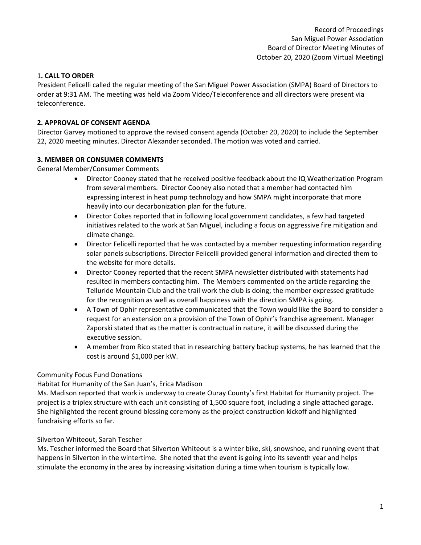## 1**. CALL TO ORDER**

President Felicelli called the regular meeting of the San Miguel Power Association (SMPA) Board of Directors to order at 9:31 AM. The meeting was held via Zoom Video/Teleconference and all directors were present via teleconference.

## **2. APPROVAL OF CONSENT AGENDA**

Director Garvey motioned to approve the revised consent agenda (October 20, 2020) to include the September 22, 2020 meeting minutes. Director Alexander seconded. The motion was voted and carried.

## **3. MEMBER OR CONSUMER COMMENTS**

General Member/Consumer Comments

- Director Cooney stated that he received positive feedback about the IQ Weatherization Program from several members. Director Cooney also noted that a member had contacted him expressing interest in heat pump technology and how SMPA might incorporate that more heavily into our decarbonization plan for the future.
- Director Cokes reported that in following local government candidates, a few had targeted initiatives related to the work at San Miguel, including a focus on aggressive fire mitigation and climate change.
- Director Felicelli reported that he was contacted by a member requesting information regarding solar panels subscriptions. Director Felicelli provided general information and directed them to the website for more details.
- Director Cooney reported that the recent SMPA newsletter distributed with statements had resulted in members contacting him. The Members commented on the article regarding the Telluride Mountain Club and the trail work the club is doing; the member expressed gratitude for the recognition as well as overall happiness with the direction SMPA is going.
- A Town of Ophir representative communicated that the Town would like the Board to consider a request for an extension on a provision of the Town of Ophir's franchise agreement. Manager Zaporski stated that as the matter is contractual in nature, it will be discussed during the executive session.
- A member from Rico stated that in researching battery backup systems, he has learned that the cost is around \$1,000 per kW.

## Community Focus Fund Donations

Habitat for Humanity of the San Juan's, Erica Madison

Ms. Madison reported that work is underway to create Ouray County's first Habitat for Humanity project. The project is a triplex structure with each unit consisting of 1,500 square foot, including a single attached garage. She highlighted the recent ground blessing ceremony as the project construction kickoff and highlighted fundraising efforts so far.

## Silverton Whiteout, Sarah Tescher

Ms. Tescher informed the Board that Silverton Whiteout is a winter bike, ski, snowshoe, and running event that happens in Silverton in the wintertime. She noted that the event is going into its seventh year and helps stimulate the economy in the area by increasing visitation during a time when tourism is typically low.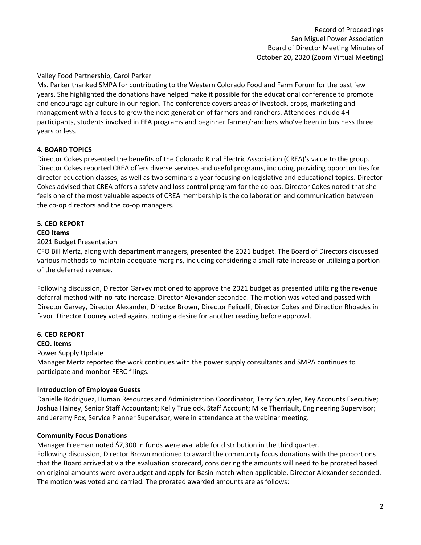## Valley Food Partnership, Carol Parker

Ms. Parker thanked SMPA for contributing to the Western Colorado Food and Farm Forum for the past few years. She highlighted the donations have helped make it possible for the educational conference to promote and encourage agriculture in our region. The conference covers areas of livestock, crops, marketing and management with a focus to grow the next generation of farmers and ranchers. Attendees include 4H participants, students involved in FFA programs and beginner farmer/ranchers who've been in business three years or less.

## **4. BOARD TOPICS**

Director Cokes presented the benefits of the Colorado Rural Electric Association (CREA)'s value to the group. Director Cokes reported CREA offers diverse services and useful programs, including providing opportunities for director education classes, as well as two seminars a year focusing on legislative and educational topics. Director Cokes advised that CREA offers a safety and loss control program for the co-ops. Director Cokes noted that she feels one of the most valuable aspects of CREA membership is the collaboration and communication between the co-op directors and the co-op managers.

## **5. CEO REPORT**

## **CEO Items**

2021 Budget Presentation

CFO Bill Mertz, along with department managers, presented the 2021 budget. The Board of Directors discussed various methods to maintain adequate margins, including considering a small rate increase or utilizing a portion of the deferred revenue.

Following discussion, Director Garvey motioned to approve the 2021 budget as presented utilizing the revenue deferral method with no rate increase. Director Alexander seconded. The motion was voted and passed with Director Garvey, Director Alexander, Director Brown, Director Felicelli, Director Cokes and Direction Rhoades in favor. Director Cooney voted against noting a desire for another reading before approval.

## **6. CEO REPORT**

## **CEO. Items**

Power Supply Update

Manager Mertz reported the work continues with the power supply consultants and SMPA continues to participate and monitor FERC filings.

## **Introduction of Employee Guests**

Danielle Rodriguez, Human Resources and Administration Coordinator; Terry Schuyler, Key Accounts Executive; Joshua Hainey, Senior Staff Accountant; Kelly Truelock, Staff Account; Mike Therriault, Engineering Supervisor; and Jeremy Fox, Service Planner Supervisor, were in attendance at the webinar meeting.

## **Community Focus Donations**

Manager Freeman noted \$7,300 in funds were available for distribution in the third quarter.

Following discussion, Director Brown motioned to award the community focus donations with the proportions that the Board arrived at via the evaluation scorecard, considering the amounts will need to be prorated based on original amounts were overbudget and apply for Basin match when applicable. Director Alexander seconded. The motion was voted and carried. The prorated awarded amounts are as follows: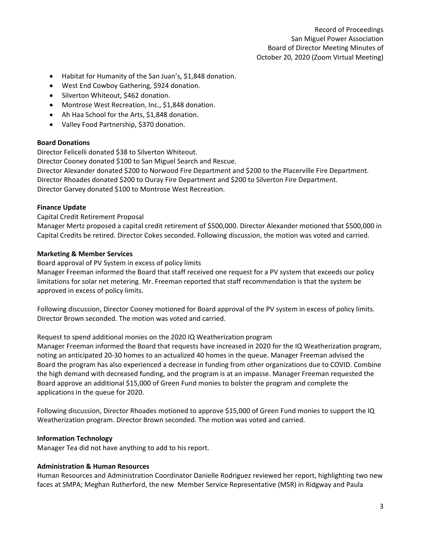- Habitat for Humanity of the San Juan's, \$1,848 donation.
- West End Cowboy Gathering, \$924 donation.
- Silverton Whiteout, \$462 donation.
- Montrose West Recreation, Inc., \$1,848 donation.
- Ah Haa School for the Arts, \$1,848 donation.
- Valley Food Partnership, \$370 donation.

## **Board Donations**

Director Felicelli donated \$38 to Silverton Whiteout.

Director Cooney donated \$100 to San Miguel Search and Rescue.

Director Alexander donated \$200 to Norwood Fire Department and \$200 to the Placerville Fire Department. Director Rhoades donated \$200 to Ouray Fire Department and \$200 to Silverton Fire Department. Director Garvey donated \$100 to Montrose West Recreation.

## **Finance Update**

Capital Credit Retirement Proposal

Manager Mertz proposed a capital credit retirement of \$500,000. Director Alexander motioned that \$500,000 in Capital Credits be retired. Director Cokes seconded. Following discussion, the motion was voted and carried.

#### **Marketing & Member Services**

Board approval of PV System in excess of policy limits

Manager Freeman informed the Board that staff received one request for a PV system that exceeds our policy limitations for solar net metering. Mr. Freeman reported that staff recommendation is that the system be approved in excess of policy limits.

Following discussion, Director Cooney motioned for Board approval of the PV system in excess of policy limits. Director Brown seconded. The motion was voted and carried.

#### Request to spend additional monies on the 2020 IQ Weatherization program

Manager Freeman informed the Board that requests have increased in 2020 for the IQ Weatherization program, noting an anticipated 20-30 homes to an actualized 40 homes in the queue. Manager Freeman advised the Board the program has also experienced a decrease in funding from other organizations due to COVID. Combine the high demand with decreased funding, and the program is at an impasse. Manager Freeman requested the Board approve an additional \$15,000 of Green Fund monies to bolster the program and complete the applications in the queue for 2020.

Following discussion, Director Rhoades motioned to approve \$15,000 of Green Fund monies to support the IQ Weatherization program. Director Brown seconded. The motion was voted and carried.

## **Information Technology**

Manager Tea did not have anything to add to his report.

# **Administration & Human Resources**

Human Resources and Administration Coordinator Danielle Rodriguez reviewed her report, highlighting two new faces at SMPA; Meghan Rutherford, the new Member Service Representative (MSR) in Ridgway and Paula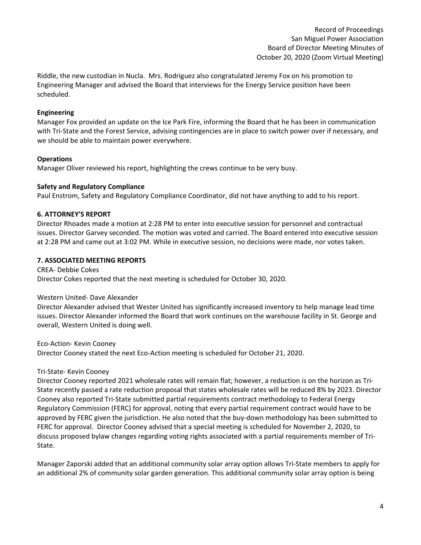Riddle, the new custodian in Nucla. Mrs. Rodriguez also congratulated Jeremy Fox on his promotion to Engineering Manager and advised the Board that interviews for the Energy Service position have been scheduled.

## **Engineering**

Manager Fox provided an update on the Ice Park Fire, informing the Board that he has been in communication with Tri-State and the Forest Service, advising contingencies are in place to switch power over if necessary, and we should be able to maintain power everywhere.

## **Operations**

Manager Oliver reviewed his report, highlighting the crews continue to be very busy.

## **Safety and Regulatory Compliance**

Paul Enstrom, Safety and Regulatory Compliance Coordinator, did not have anything to add to his report.

## **6. ATTORNEY'S REPORT**

Director Rhoades made a motion at 2:28 PM to enter into executive session for personnel and contractual issues. Director Garvey seconded. The motion was voted and carried. The Board entered into executive session at 2:28 PM and came out at 3:02 PM. While in executive session, no decisions were made, nor votes taken.

## **7. ASSOCIATED MEETING REPORTS**

CREA- Debbie Cokes Director Cokes reported that the next meeting is scheduled for October 30, 2020.

#### Western United- Dave Alexander

Director Alexander advised that Wester United has significantly increased inventory to help manage lead time issues. Director Alexander informed the Board that work continues on the warehouse facility in St. George and overall, Western United is doing well.

Eco-Action- Kevin Cooney

Director Cooney stated the next Eco-Action meeting is scheduled for October 21, 2020.

## Tri-State- Kevin Cooney

Director Cooney reported 2021 wholesale rates will remain flat; however, a reduction is on the horizon as Tri-State recently passed a rate reduction proposal that states wholesale rates will be reduced 8% by 2023. Director Cooney also reported Tri-State submitted partial requirements contract methodology to Federal Energy Regulatory Commission (FERC) for approval, noting that every partial requirement contract would have to be approved by FERC given the jurisdiction. He also noted that the buy-down methodology has been submitted to FERC for approval. Director Cooney advised that a special meeting is scheduled for November 2, 2020, to discuss proposed bylaw changes regarding voting rights associated with a partial requirements member of Tri-State.

Manager Zaporski added that an additional community solar array option allows Tri-State members to apply for an additional 2% of community solar garden generation. This additional community solar array option is being